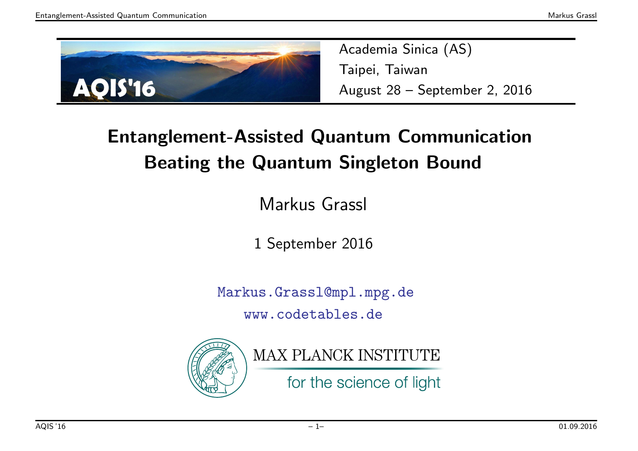

Academia Sinica (AS) Taipei, TaiwanAugust <sup>28</sup> – September 2, <sup>2016</sup>

#### Entanglement-Assisted Quantum CommunicationBeating the Quantum Singleton Bound

Markus Grassl

<sup>1</sup> September <sup>2016</sup>

Markus.Grassl@mpl.mpg.dewww.codetables.de



MAX PLANCK INSTITUTE

for the science of light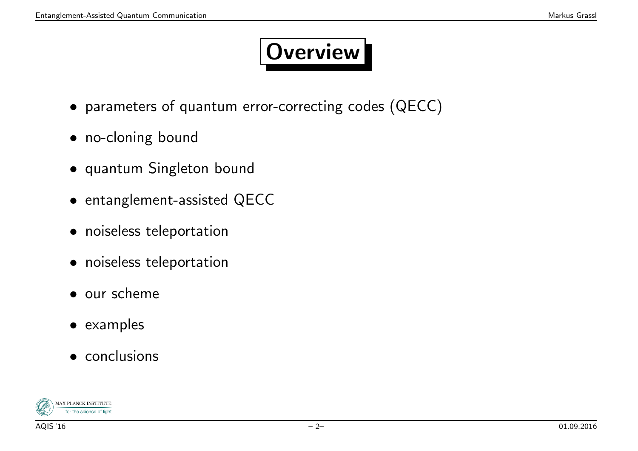## Overview

- parameters of quantum error-correcting codes (QECC)
- no-cloning bound
- quantum Singleton bound
- entanglement-assisted QECC
- noiseless teleportation
- noiseless teleportation
- our scheme
- examples
- conclusions

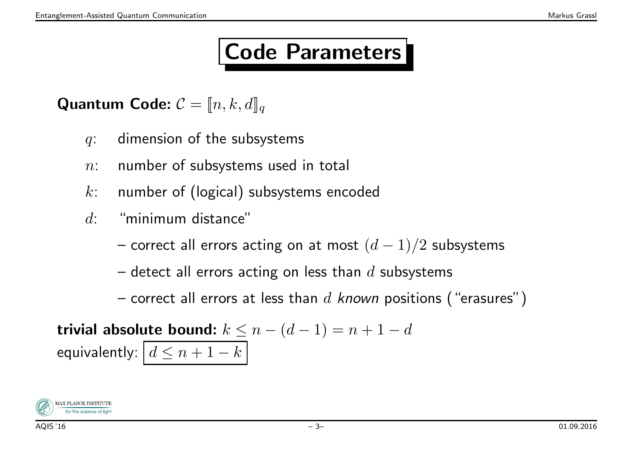## Code Parameters

Quantum Code:  $\mathcal{C} = \llbracket n, k, d \rrbracket_q$ 

- $q$ : dimension of the subsystems
- $n:$  number of subsystems used in total
- <sup>k</sup>: number of (logical) subsystems encoded
- $d$ : "minimum distance"
	- correct all errors acting on at most  $(d-1)/2$  subsystems

–detect all errors acting on less than  $d$  subsystems

–correct all errors at less than  $d$  known positions ("erasures")

trivial absolute bound:  $k \leq n-(d-1)=n+1-d$ equivalently:  $\left\lfloor d \leq n+1-k \right\rfloor$ 

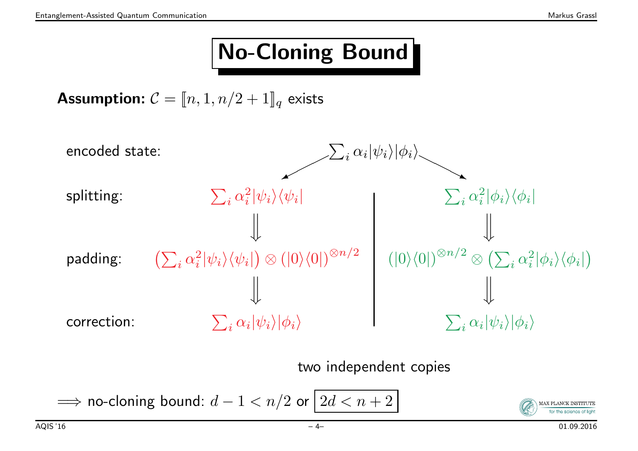## No-Cloning Bound

**Assumption:**  $\mathcal{C} = [\![n,1,n/2+1]\!]_q$  exists



two independent copies

 $\implies$  no-cloning bound:  $d-1 < n/2$  or  $\boxed{2d < n+2}$ 

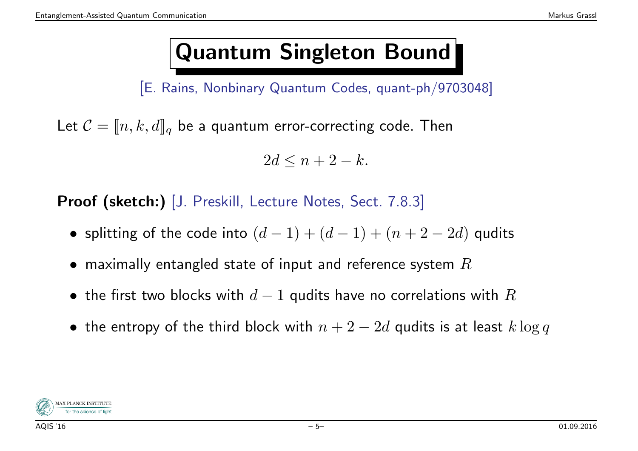## Quantum Singleton Bound

[E. Rains, Nonbinary Quantum Codes, quant-ph/9703048]

Let  $\mathcal{C} = [\![n,k,d]\!]_q$  be a quantum error-correcting code. Then

 $2d \leq n+2-k.$ 

Proof (sketch:) [J. Preskill, Lecture Notes, Sect. 7.8.3]

- splitting of the code into  $(d-1) + (d-1) + (n+2-2d)$  qudits
- $\bullet\,$  maximally entangled state of input and reference system  $R$
- $\bullet\,$  the first two blocks with  $d-1$  qudits have no correlations with  $R$
- $\bullet\,$  the entropy of the third block with  $n+2-2d$  qudits is at least  $k\log q$

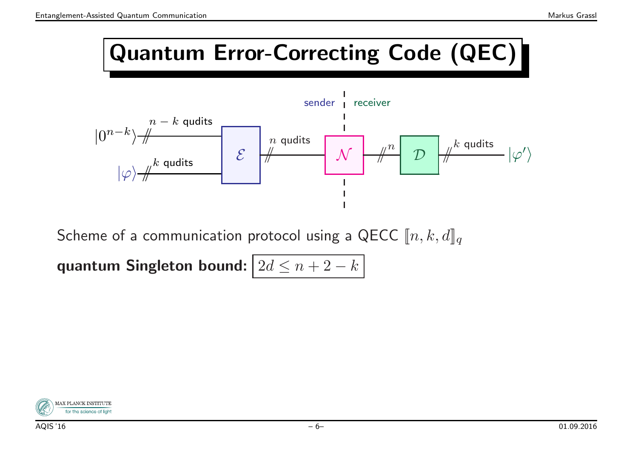#### Quantum Error-Correcting Code (QEC)



Scheme of a communication protocol using a QECC  $\llbracket n,k,d \rrbracket_q$ 

quantum Singleton bound:  $\boxed{2d \leq n+2-k}$ 

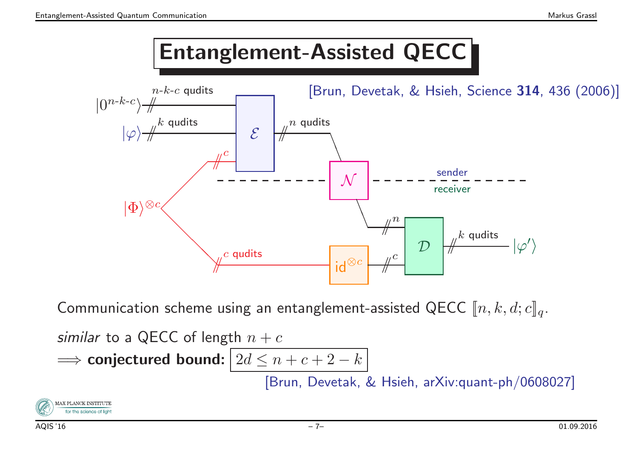#### Entanglement-Assisted QECC



Communication scheme using an entanglement-assisted QECC  $\llbracket n,k,d; c\rrbracket_q.$ 

similar to a QECC of length 
$$
n + c
$$

$$
\implies \text{conjectured bound:} \boxed{2d \leq n + c + 2 - k}
$$

[Brun, Devetak, & Hsieh, arXiv:quant-ph/0608027]

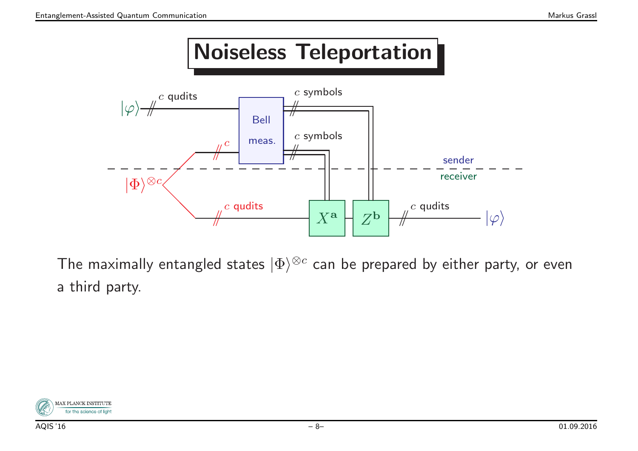#### Noiseless Teleportation



The maximally entangled states  $|\Phi\rangle^{\otimes c}$  can be prepared by either party, or even <sup>a</sup> third party.

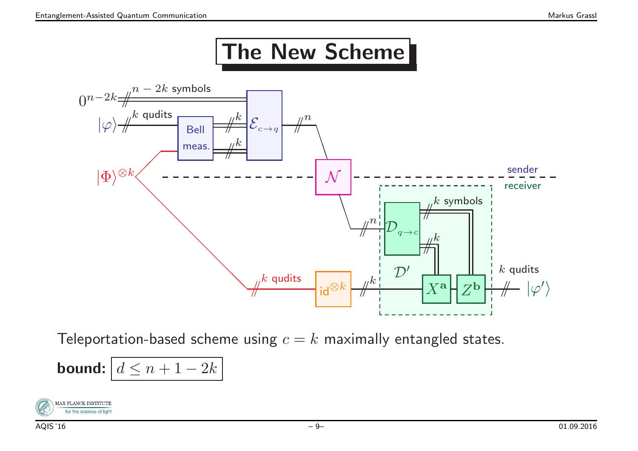## The New Scheme



Teleportation-based scheme using  $c=k$  maximally entangled states.

**bound:** 
$$
d \leq n + 1 - 2k
$$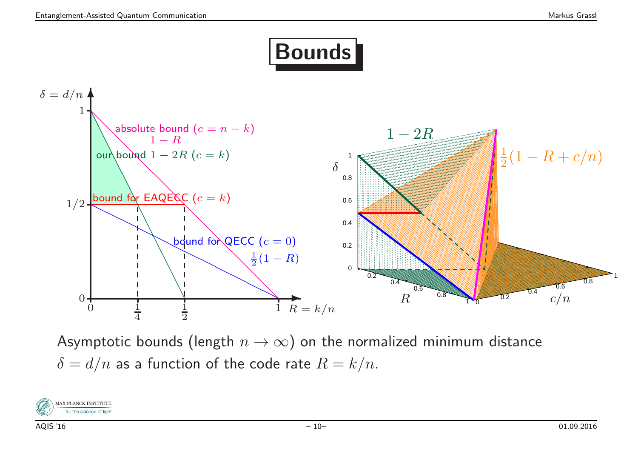## Bounds



Asymptotic bounds (length  $n \to \infty$ ) on the normalized minimum distance  $\delta = d/n$  as a function of the code rate  $R = k/n$ .

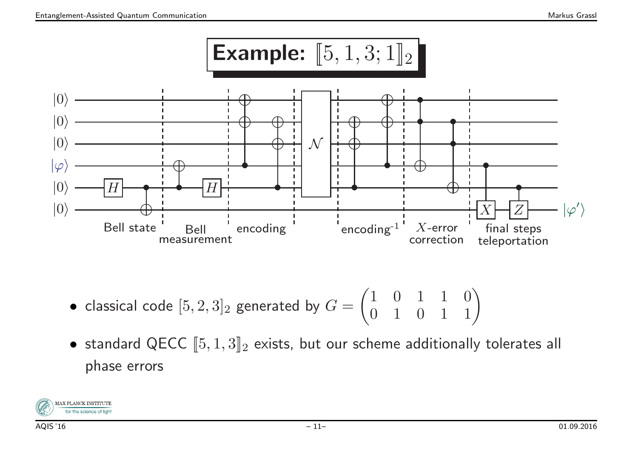

- $\bullet\,$  classical code  $[5,2,3]_2$  generated by  $G$  $G = \begin{pmatrix} 1 & 0 & 1 & 1 & 0 \ 0 & 1 & 0 & 1 & 1 \end{pmatrix}$
- $\bullet$  standard QECC  $[\![ 5,1,3 ]\!]_2$  exists, but our scheme additionally tolerates all phase errors

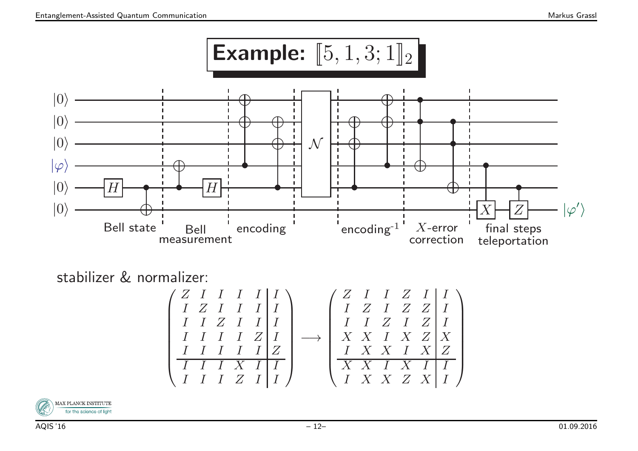

stabilizer & normalizer:

$$
\begin{pmatrix} Z & I & I & I & I \\ I & Z & I & I & I \\ I & I & Z & I & I \\ I & I & I & I & Z \\ \hline I & I & I & I & Z \\ \hline I & I & I & X & I & I \\ \hline I & I & I & X & I & I \\ \hline I & I & I & Z & I & I \\ \end{pmatrix} \longrightarrow \begin{pmatrix} Z & I & I & Z & I & I \\ I & Z & I & Z & Z & I \\ I & Z & I & Z & I & I \\ X & X & I & X & Z & X \\ \hline X & X & I & X & I & X \\ \hline X & X & I & X & I & I \\ \hline X & X & I & X & I & I \\ \end{pmatrix}
$$

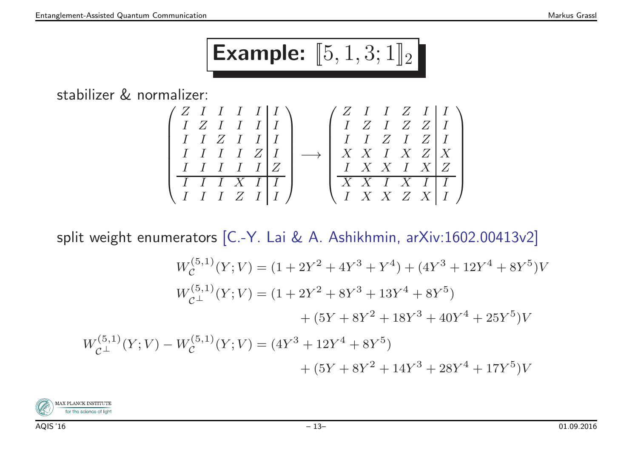# Example:  $[\![ 5,1,3;1 ]\!]_2$

stabilizer & normalizer:

$$
\begin{pmatrix}\nZ & I & I & I & I & I \\
I & Z & I & I & I & I \\
I & I & Z & I & I & I \\
I & I & I & I & Z & I \\
I & I & I & I & Z & I \\
I & I & I & X & I & I \\
I & I & I & Z & I & I\n\end{pmatrix} \longrightarrow \begin{pmatrix}\nZ & I & I & Z & I & I \\
I & Z & I & Z & Z & I \\
I & I & Z & Z & I & I \\
I & I & Z & I & Z & I \\
X & X & I & X & Z & X \\
I & X & X & I & X & I \\
X & X & I & X & I & I \\
I & X & X & Z & X & I\n\end{pmatrix}
$$

split weight enumerators [C.-Y. Lai & A. Ashikhmin, arXiv:1602.00413v2]

$$
W_C^{(5,1)}(Y;V) = (1 + 2Y^2 + 4Y^3 + Y^4) + (4Y^3 + 12Y^4 + 8Y^5)V
$$
  
\n
$$
W_{C^\perp}^{(5,1)}(Y;V) = (1 + 2Y^2 + 8Y^3 + 13Y^4 + 8Y^5)
$$
  
\n
$$
+ (5Y + 8Y^2 + 18Y^3 + 40Y^4 + 25Y^5)V
$$
  
\n
$$
W_{C^\perp}^{(5,1)}(Y;V) - W_C^{(5,1)}(Y;V) = (4Y^3 + 12Y^4 + 8Y^5)
$$
  
\n
$$
+ (5Y + 8Y^2 + 14Y^3 + 28Y^4 + 17Y^5)V
$$

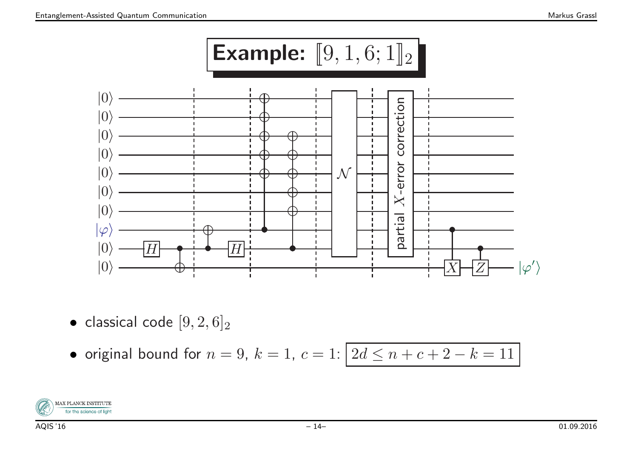

 $\bullet\,$  classical code  $[9,2,6]_2$ 

• original bound for 
$$
n = 9
$$
,  $k = 1$ ,  $c = 1$ :  $\boxed{2d \le n + c + 2 - k = 11}$ 

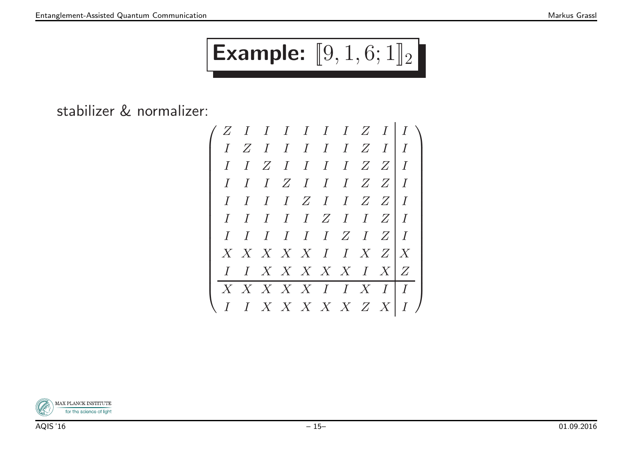# Example:  $[\![9,1,6;1]\!]_2$

stabilizer & normalizer:



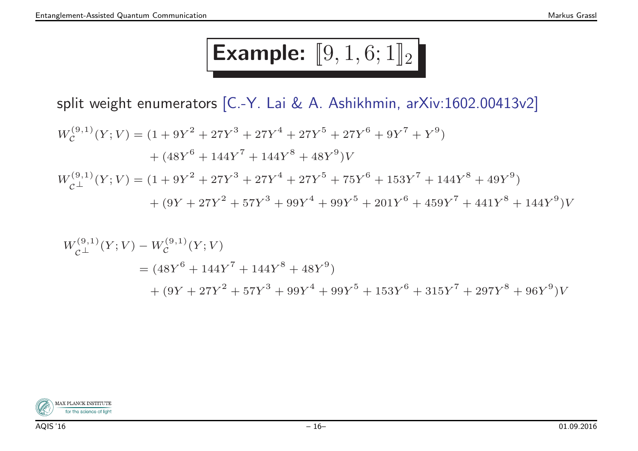# Example:  $[\![9,1,6;1]\!]_2$

split weight enumerators [C.-Y. Lai & A. Ashikhmin, arXiv:1602.00413v2]

$$
W_C^{(9,1)}(Y;V) = (1 + 9Y^2 + 27Y^3 + 27Y^4 + 27Y^5 + 27Y^6 + 9Y^7 + Y^9)
$$
  
+ 
$$
(48Y^6 + 144Y^7 + 144Y^8 + 48Y^9)V
$$
  

$$
W_{C^\perp}^{(9,1)}(Y;V) = (1 + 9Y^2 + 27Y^3 + 27Y^4 + 27Y^5 + 75Y^6 + 153Y^7 + 144Y^8 + 49Y^9)
$$
  
+ 
$$
(9Y + 27Y^2 + 57Y^3 + 99Y^4 + 99Y^5 + 201Y^6 + 459Y^7 + 441Y^8 + 144Y^9)V
$$

$$
W_{\mathcal{C}^{\perp}}^{(9,1)}(Y;V) - W_{\mathcal{C}}^{(9,1)}(Y;V)
$$
  
=  $(48Y^6 + 144Y^7 + 144Y^8 + 48Y^9)$   
+  $(9Y + 27Y^2 + 57Y^3 + 99Y^4 + 99Y^5 + 153Y^6 + 315Y^7 + 297Y^8 + 96Y^9)V$